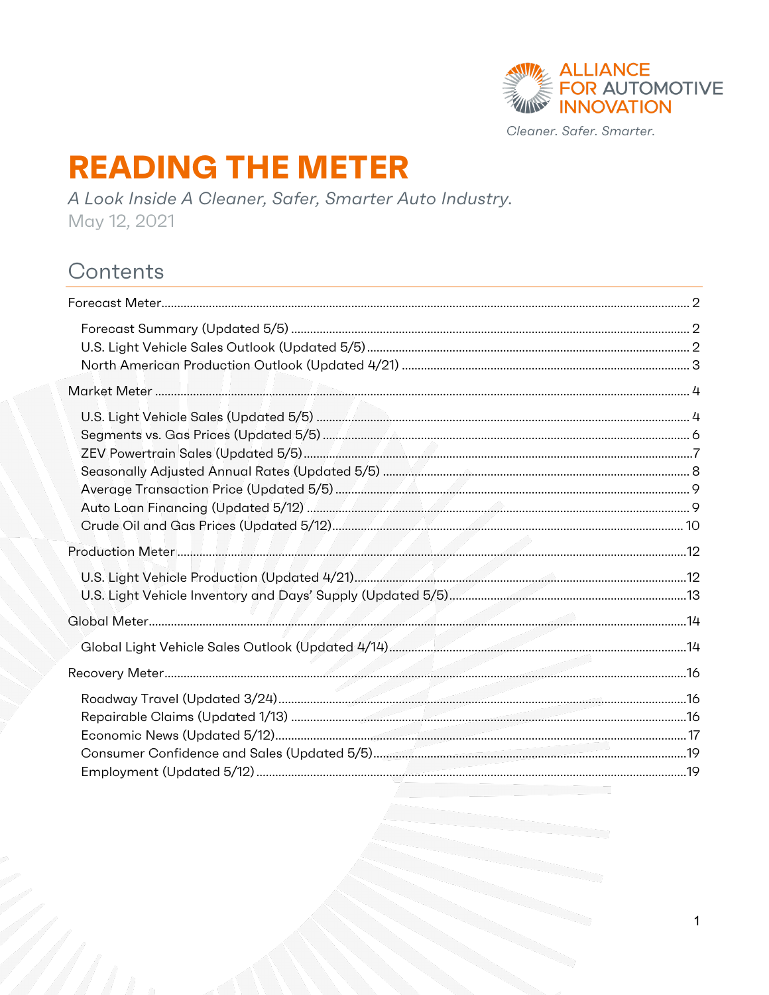

# **READING THE METER**

A Look Inside A Cleaner, Safer, Smarter Auto Industry. May 12, 2021

# Contents

 $\mathbf{1}$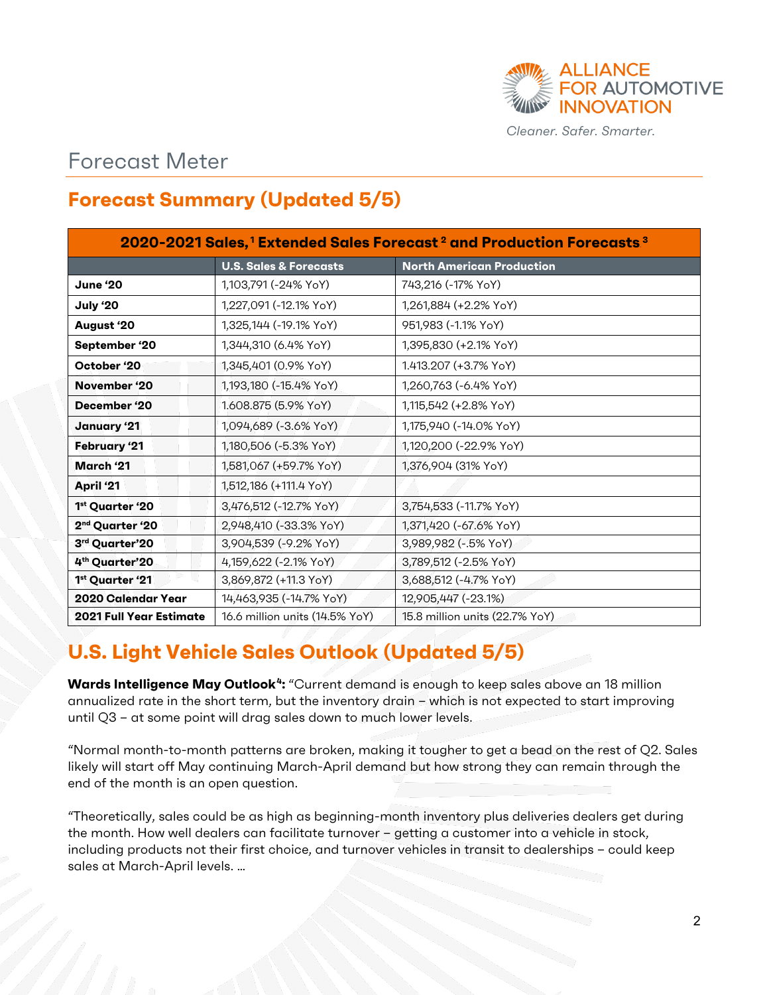

### <span id="page-1-0"></span>Forecast Meter

### <span id="page-1-1"></span>**Forecast Summary (Updated 5/5)**

| 2020-2021 Sales, <sup>1</sup> Extended Sales Forecast <sup>2</sup> and Production Forecasts <sup>3</sup> |                                   |                                  |  |  |  |
|----------------------------------------------------------------------------------------------------------|-----------------------------------|----------------------------------|--|--|--|
|                                                                                                          | <b>U.S. Sales &amp; Forecasts</b> | <b>North American Production</b> |  |  |  |
| June '20                                                                                                 | 1,103,791 (-24% YoY)              | 743,216 (-17% YoY)               |  |  |  |
| July '20                                                                                                 | 1,227,091 (-12.1% YoY)            | 1,261,884 (+2.2% YoY)            |  |  |  |
| August '20                                                                                               | 1,325,144 (-19.1% YoY)            | 951,983 (-1.1% YoY)              |  |  |  |
| September '20                                                                                            | 1,344,310 (6.4% YoY)              | 1,395,830 (+2.1% YoY)            |  |  |  |
| October '20                                                                                              | 1,345,401 (0.9% YoY)              | 1.413.207 (+3.7% YoY)            |  |  |  |
| November '20                                                                                             | 1,193,180 (-15.4% YoY)            | 1,260,763 (-6.4% YoY)            |  |  |  |
| December '20                                                                                             | 1.608.875 (5.9% YoY)              | 1,115,542 (+2.8% YoY)            |  |  |  |
| January '21                                                                                              | 1,094,689 (-3.6% YoY)             | 1,175,940 (-14.0% YoY)           |  |  |  |
| <b>February '21</b>                                                                                      | 1,180,506 (-5.3% YoY)             | 1,120,200 (-22.9% YoY)           |  |  |  |
| March '21                                                                                                | 1,581,067 (+59.7% YoY)            | 1,376,904 (31% YoY)              |  |  |  |
| April '21                                                                                                | 1,512,186 (+111.4 YoY)            |                                  |  |  |  |
| 1st Quarter '20                                                                                          | 3,476,512 (-12.7% YoY)            | 3,754,533 (-11.7% YoY)           |  |  |  |
| 2 <sup>nd</sup> Quarter '20                                                                              | 2,948,410 (-33.3% YoY)            | 1,371,420 (-67.6% YoY)           |  |  |  |
| 3rd Quarter'20                                                                                           | 3,904,539 (-9.2% YoY)             | 3,989,982 (-. 5% YoY)            |  |  |  |
| 4th Quarter'20                                                                                           | 4,159,622 (-2.1% YoY)             | 3,789,512 (-2.5% YoY)            |  |  |  |
| 1 <sup>st</sup> Quarter '21                                                                              | 3,869,872 (+11.3 YoY)             | 3,688,512 (-4.7% YoY)            |  |  |  |
| 2020 Calendar Year                                                                                       | 14,463,935 (-14.7% YoY)           | 12,905,447 (-23.1%)              |  |  |  |
| <b>2021 Full Year Estimate</b>                                                                           | 16.6 million units (14.5% YoY)    | 15.8 million units (22.7% YoY)   |  |  |  |

# <span id="page-1-2"></span>**U.S. Light Vehicle Sales Outlook (Updated 5/5)**

**Wards Intelligence May Outlook[4](#page-20-3):** "Current demand is enough to keep sales above an 18 million annualized rate in the short term, but the inventory drain – which is not expected to start improving until Q3 – at some point will drag sales down to much lower levels.

"Normal month-to-month patterns are broken, making it tougher to get a bead on the rest of Q2. Sales likely will start off May continuing March-April demand but how strong they can remain through the end of the month is an open question.

"Theoretically, sales could be as high as beginning-month inventory plus deliveries dealers get during the month. How well dealers can facilitate turnover – getting a customer into a vehicle in stock, including products not their first choice, and turnover vehicles in transit to dealerships – could keep sales at March-April levels. …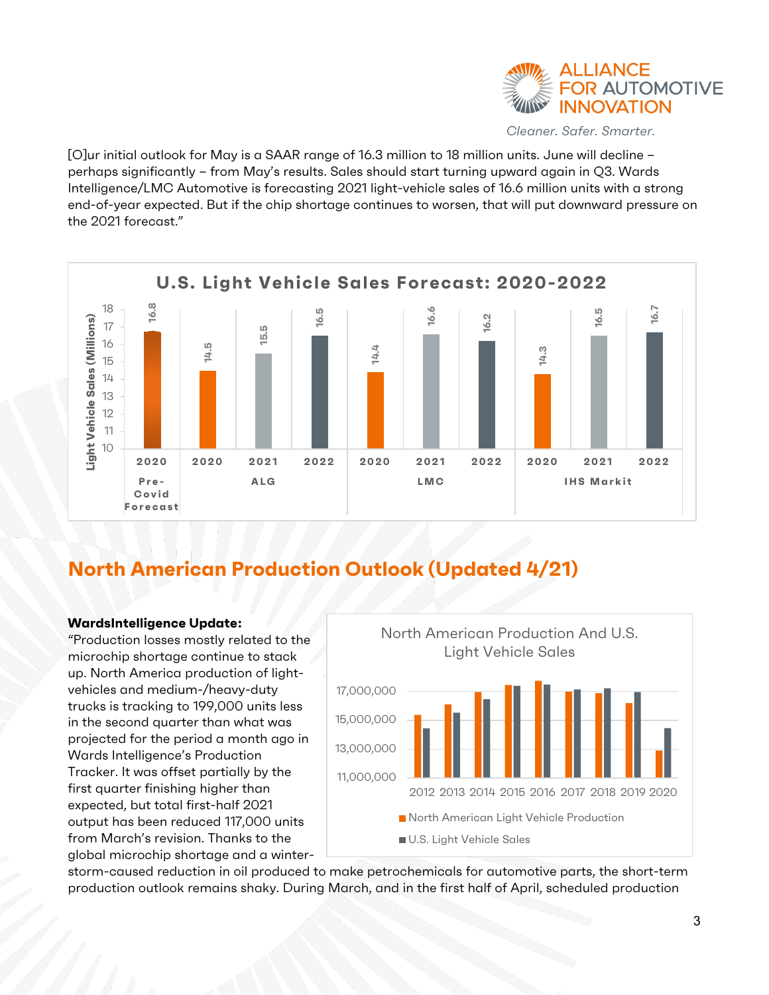

[O]ur initial outlook for May is a SAAR range of 16.3 million to 18 million units. June will decline – perhaps significantly – from May's results. Sales should start turning upward again in Q3. Wards Intelligence/LMC Automotive is forecasting 2021 light-vehicle sales of 16.6 million units with a strong end-of-year expected. But if the chip shortage continues to worsen, that will put downward pressure on the 2021 forecast."



#### <span id="page-2-0"></span>**North American Production Outlook (Updated 4/21)**

#### **WardsIntelligence Update[:](#page-20-4)**

"Production losses mostly related to the microchip shortage continue to stack up. North America production of lightvehicles and medium-/heavy-duty trucks is tracking to 199,000 units less in the second quarter than what was projected for the period a month ago in Wards Intelligence's Production Tracker. It was offset partially by the first quarter finishing higher than expected, but total first-half 2021 output has been reduced 117,000 units from March's revision. Thanks to the global microchip shortage and a winter-



storm-caused reduction in oil produced to make petrochemicals for automotive parts, the short-term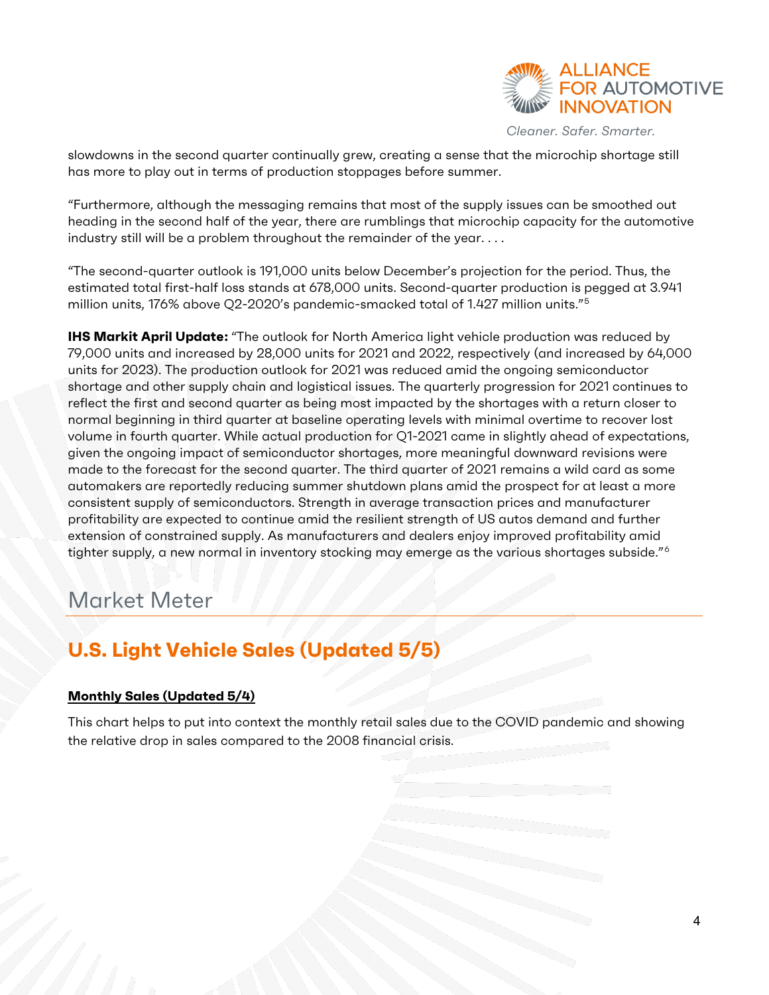

slowdowns in the second quarter continually grew, creating a sense that the microchip shortage still has more to play out in terms of production stoppages before summer.

"Furthermore, although the messaging remains that most of the supply issues can be smoothed out heading in the second half of the year, there are rumblings that microchip capacity for the automotive industry still will be a problem throughout the remainder of the year. . . .

"The second-quarter outlook is 191,000 units below December's projection for the period. Thus, the estimated total first-half loss stands at 678,000 units. Second-quarter production is pegged at 3.941 million units, 176% above Q2-2020's pandemic-smacked total of 1.427 million units."[5](#page-20-5)

**IHS Markit April Update[:](#page-20-6)** "The outlook for North America light vehicle production was reduced by 79,000 units and increased by 28,000 units for 2021 and 2022, respectively (and increased by 64,000 units for 2023). The production outlook for 2021 was reduced amid the ongoing semiconductor shortage and other supply chain and logistical issues. The quarterly progression for 2021 continues to reflect the first and second quarter as being most impacted by the shortages with a return closer to normal beginning in third quarter at baseline operating levels with minimal overtime to recover lost volume in fourth quarter. While actual production for Q1-2021 came in slightly ahead of expectations, given the ongoing impact of semiconductor shortages, more meaningful downward revisions were made to the forecast for the second quarter. The third quarter of 2021 remains a wild card as some automakers are reportedly reducing summer shutdown plans amid the prospect for at least a more consistent supply of semiconductors. Strength in average transaction prices and manufacturer profitability are expected to continue amid the resilient strength of US autos demand and further extension of constrained supply. As manufacturers and dealers enjoy improved profitability amid tighter supply, a new normal in inventory stocking may emerge as the various shortages subside."<sup>[6](#page-20-7)</sup>

### <span id="page-3-0"></span>Market Meter

### <span id="page-3-1"></span>**U.S. Light Vehicle Sales (Updated 5/5)**

#### **Monthly Sales (Updated 5/4)**

This chart helps to put into context the monthly retail sales due to the COVID pandemic and showing the relative drop in sales compared to the 2008 financial crisis.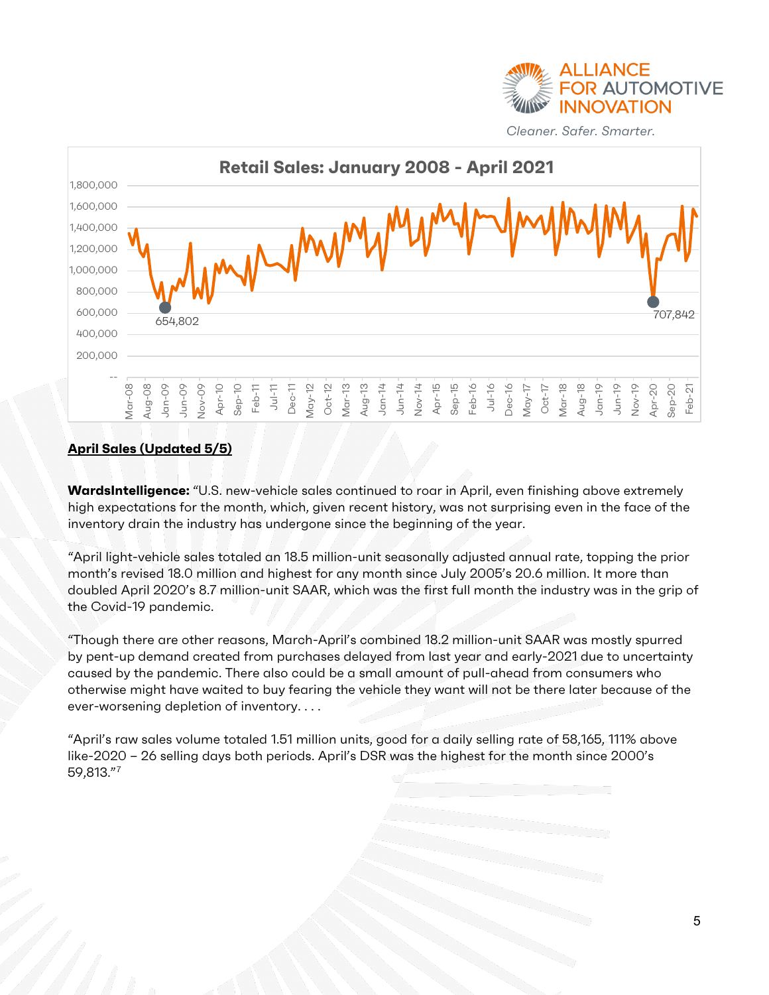



#### **April Sales (Updated 5/5)**

WardsIntelligence: "U.S. new-vehicle sales continued to roar in April, even finishing above extremely high expectations for the month, which, given recent history, was not surprising even in the face of the inventory drain the industry has undergone since the beginning of the year.

"April light-vehicle sales totaled an 18.5 million-unit seasonally adjusted annual rate, topping the prior month's revised 18.0 million and highest for any month since July 2005's 20.6 million. It more than doubled April 2020's 8.7 million-unit SAAR, which was the first full month the industry was in the grip of the Covid-19 pandemic.

"Though there are other reasons, March-April's combined 18.2 million-unit SAAR was mostly spurred by pent-up demand created from purchases delayed from last year and early-2021 due to uncertainty caused by the pandemic. There also could be a small amount of pull-ahead from consumers who otherwise might have waited to buy fearing the vehicle they want will not be there later because of the ever-worsening depletion of inventory. . . .

"April's raw sales volume totaled 1.51 million units, good for a daily selling rate of 58,165, 111% above like-2020 – 26 selling days both periods. April's DSR was the highest for the month since 2000's 59,813."[7](#page-20-8)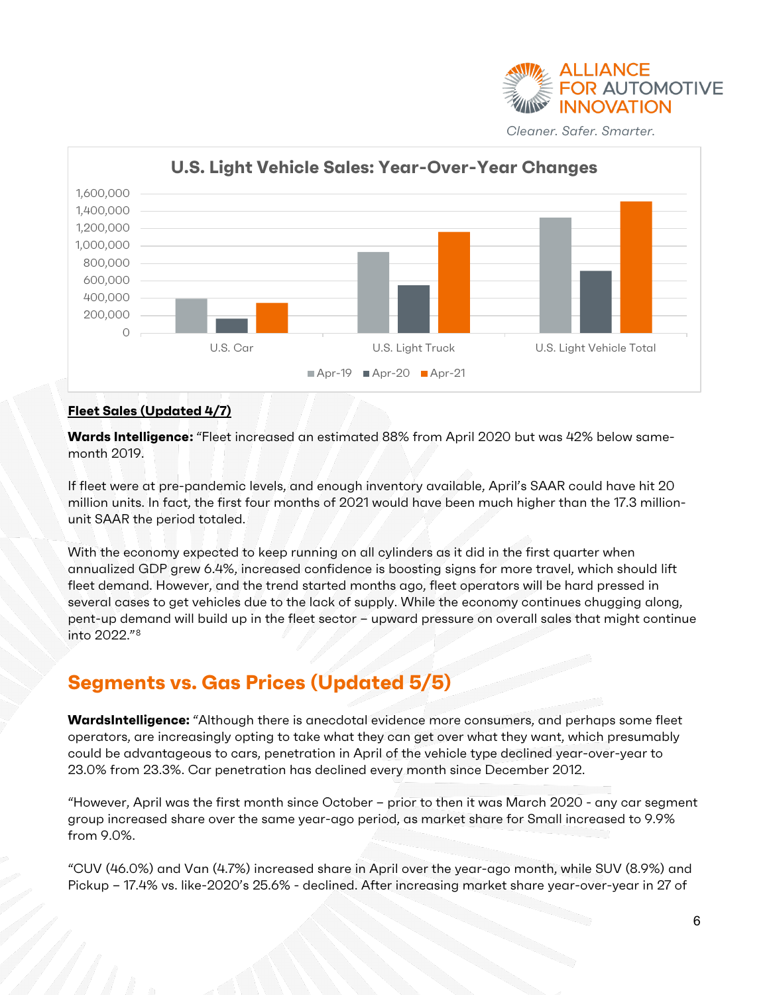



#### **Fleet Sales (Updated 4/7)**

**Wards Intelligence:** "Fleet increased an estimated 88% from April 2020 but was 42% below samemonth 2019.

If fleet were at pre-pandemic levels, and enough inventory available, April's SAAR could have hit 20 million units. In fact, the first four months of 2021 would have been much higher than the 17.3 millionunit SAAR the period totaled.

With the economy expected to keep running on all cylinders as it did in the first quarter when annualized GDP grew 6.4%, increased confidence is boosting signs for more travel, which should lift fleet demand. However, and the trend started months ago, fleet operators will be hard pressed in several cases to get vehicles due to the lack of supply. While the economy continues chugging along, pent-up demand will build up in the fleet sector – upward pressure on overall sales that might continue into 2022."[8](#page-20-4)

### <span id="page-5-0"></span>**Segments vs. Gas Prices (Updated 5/5)**

**WardsIntelligence:** "Although there is anecdotal evidence more consumers, and perhaps some fleet operators, are increasingly opting to take what they can get over what they want, which presumably could be advantageous to cars, penetration in April of the vehicle type declined year-over-year to 23.0% from 23.3%. Car penetration has declined every month since December 2012.

"However, April was the first month since October – prior to then it was March 2020 - any car segment group increased share over the same year-ago period, as market share for Small increased to 9.9% from 9.0%.

"CUV (46.0%) and Van (4.7%) increased share in April over the year-ago month, while SUV (8.9%) and Pickup – 17.4% vs. like-2020's 25.6% - declined. After increasing market share year-over-year in 27 of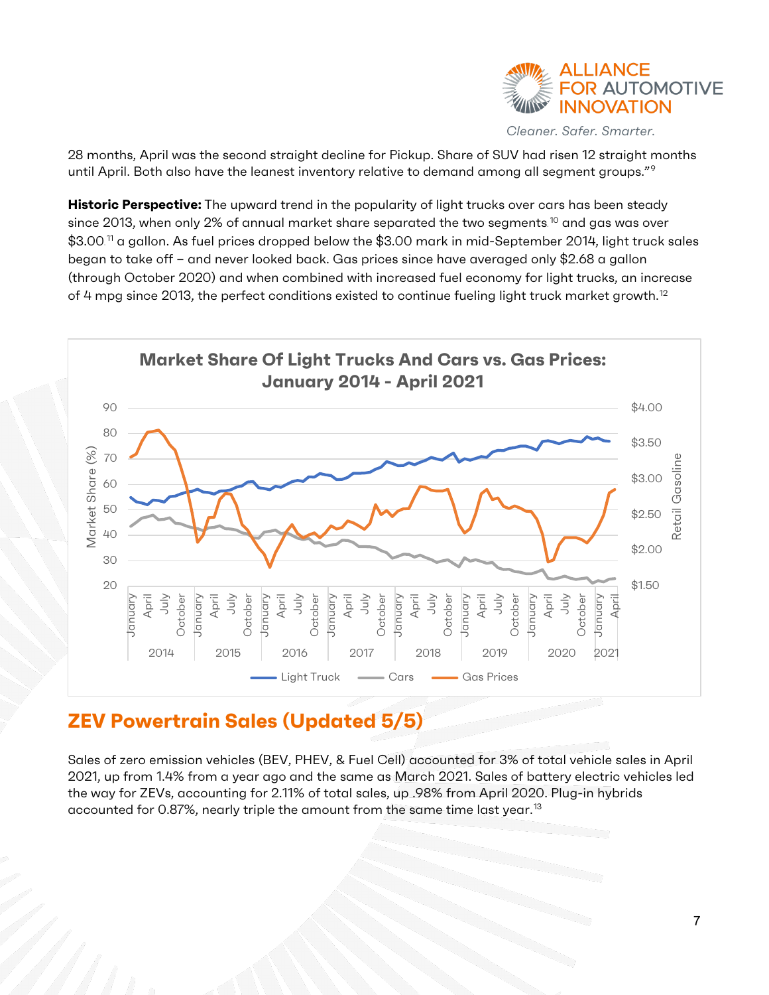

28 months, April was the second straight decline for Pickup. Share of SUV had risen 12 straight months until April. Both also have the leanest inventory relative to demand among all segment groups."<sup>[9](#page-20-6)</sup>

**Historic Perspective:** The upward trend in the popularity of light trucks over cars has been steady since 2013, when only 2% of annual market share separated the two segments. $^{\text{10}}$  $^{\text{10}}$  $^{\text{10}}$  and gas was over  $\$3.00$ . $^\text{\tiny{11}}$  $^\text{\tiny{11}}$  $^\text{\tiny{11}}$  a gallon. As fuel prices dropped below the  $\$3.00$  mark in mid-September 2014, light truck sales began to take off – and never looked back. Gas prices since have averaged only \$2.68 a gallon (through October 2020) and when combined with increased fuel economy for light trucks, an increase of 4 mpg since 2013, the perfect conditions existed to continue fueling light truck market growth.<sup>[12](#page-20-11)</sup>



#### <span id="page-6-0"></span>**ZEV Powertrain Sales (Updated 5/5)**

Sales of zero emission vehicles (BEV, PHEV, & Fuel Cell) accounted for 3% of total vehicle sales in April 2021, up from 1.4% from a year ago and the same as March 2021. Sales of battery electric vehicles led the way for ZEVs, accounting for 2.11% of total sales, up .98% from April 2020. Plug-in hybrids accounted for 0.87%, nearly triple the amount from the same time last year.<sup>[13](#page-20-12)</sup>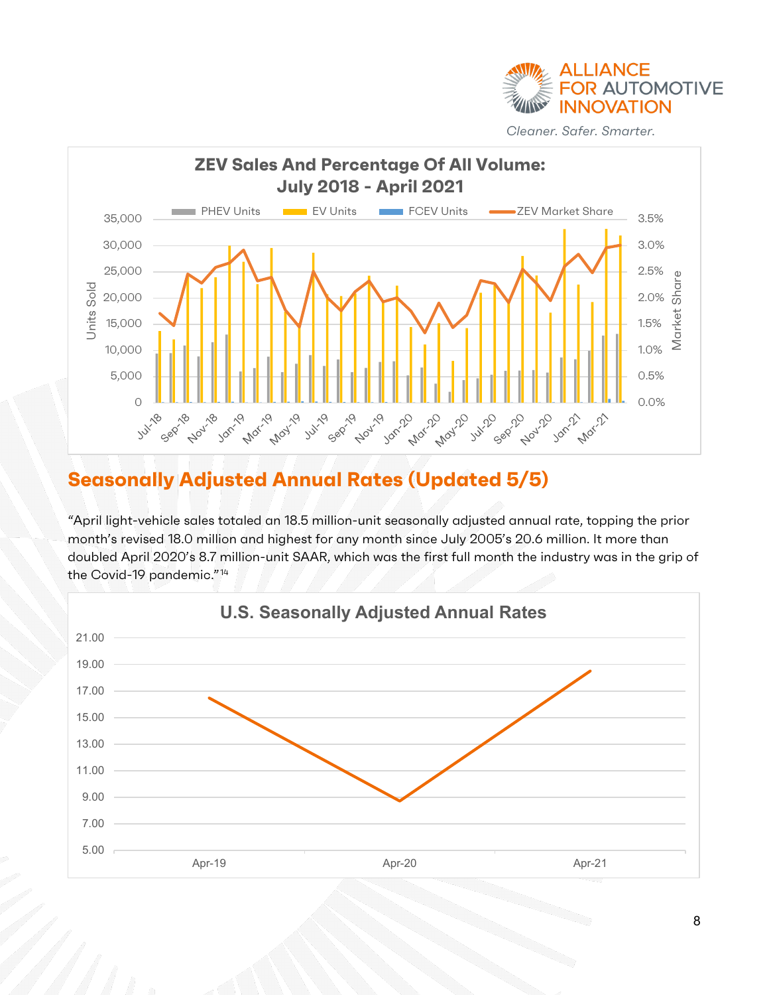



### <span id="page-7-0"></span>**Seasonally Adjusted Annual Rates (Updated 5/5)**

"April light-vehicle sales totaled an 18.5 million-unit seasonally adjusted annual rate, topping the prior month's revised 18.0 million and highest for any month since July 2005's 20.6 million. It more than doubled April 2020's 8.7 million-unit SAAR, which was the first full month the industry was in the grip of the Covid-19 pandemic."<sup>[14](#page-20-13)</sup>

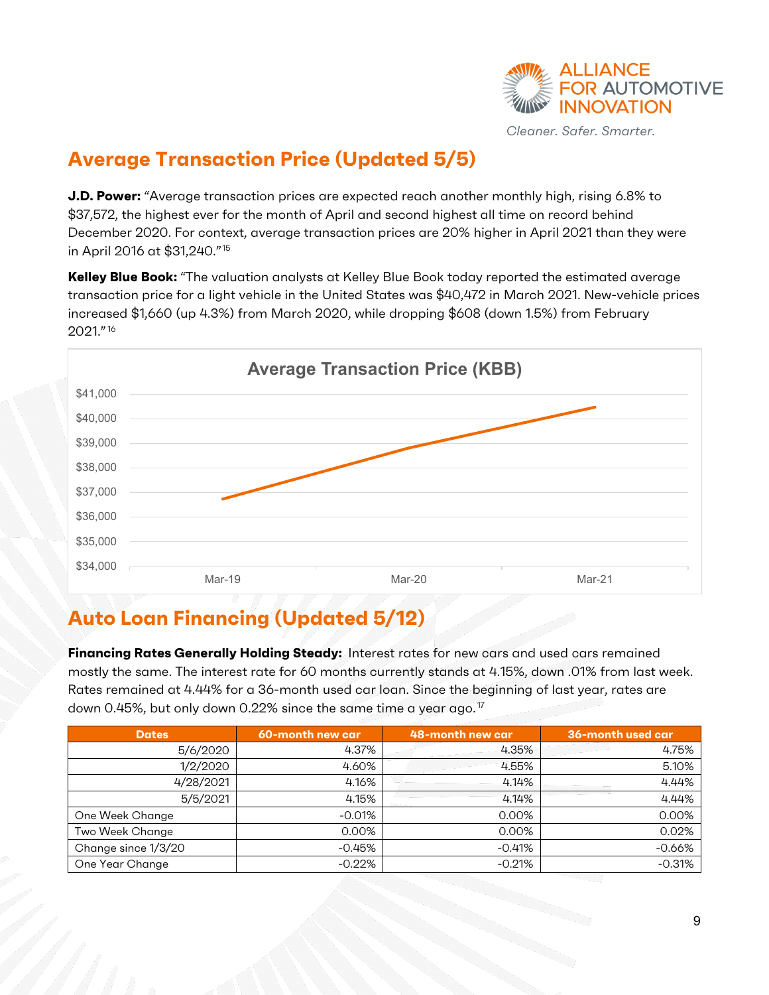

### <span id="page-8-0"></span>**Average Transaction Price (Updated 5/5)**

**J.D. Power:** "Average transaction prices are expected reach another monthly high, rising 6.8% to \$37,572, the highest ever for the month of April and second highest all time on record behind December 2020. For context, average transaction prices are 20% higher in April 2021 than they were in April 2016 at \$31,240."[15](#page-20-14)

**Kelley Blue Book:** "The valuation analysts at Kelley Blue Book today reported the estimated average transaction price for a light vehicle in the United States was \$40,472 in March 2021. New-vehicle prices increased \$1,660 (up 4.3%) from March 2020, while dropping \$608 (down 1.5%) from February 2021."[16](#page-20-15)



# <span id="page-8-1"></span>**Auto Loan Financing (Updated 5/12)**

**Financing Rates Generally Holding Steady:** Interest rates for new cars and used cars remained mostly the same. The interest rate for 60 months currently stands at 4.15%, down .01% from last week. Rates remained at 4.44% for a 36-month used car loan. Since the beginning of last year, rates are down 0.45%, but only down 0.22% since the same time a year ago.<sup>[17](#page-20-16)</sup>

| <b>Dates</b>        | 60-month new car | 48-month new car | 36-month used car |
|---------------------|------------------|------------------|-------------------|
| 5/6/2020            | 4.37%            | 4.35%            | 4.75%             |
| 1/2/2020            | 4.60%            | 4.55%            | 5.10%             |
| 4/28/2021           | 4.16%            | 4.14%            | 4.44%             |
| 5/5/2021            | 4.15%            | 4.14%            | 4.44%             |
| One Week Change     | $-0.01%$         | 0.00%            | 0.00%             |
| Two Week Change     | 0.00%            | 0.00%            | 0.02%             |
| Change since 1/3/20 | $-0.45\%$        | $-0.41%$         | $-0.66%$          |
| One Year Change     | $-0.22%$         | $-0.21%$         | $-0.31%$          |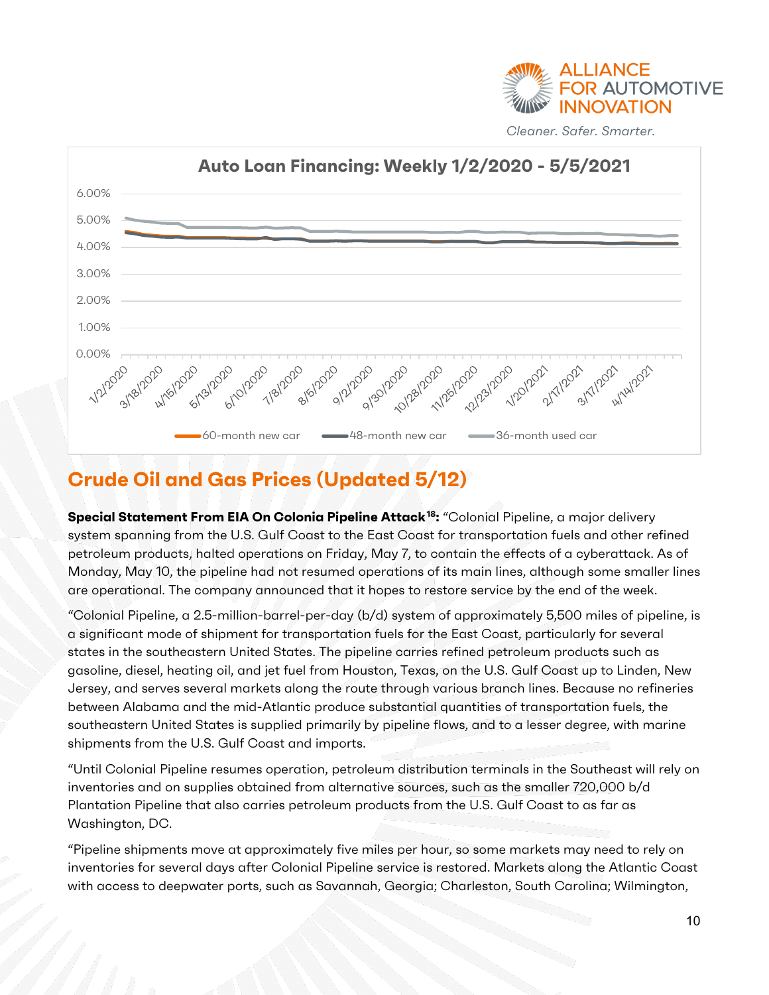



### <span id="page-9-0"></span>**Crude Oil and Gas Prices (Updated 5/12)**

**Special Statement From EIA On Colonia Pipeline Attack[18](#page-20-17):** "Colonial Pipeline, a major delivery system spanning from the U.S. Gulf Coast to the East Coast for transportation fuels and other refined petroleum products, halted operations on Friday, May 7, to contain the effects of a cyberattack. As of Monday, May 10, the pipeline had not resumed operations of its main lines, although some smaller lines are operational. The company announced that it hopes to restore service by the end of the week.

"Colonial Pipeline, a 2.5-million-barrel-per-day (b/d) system of approximately 5,500 miles of pipeline, is a significant mode of shipment for transportation fuels for the East Coast, particularly for several states in the southeastern United States. The pipeline carries refined petroleum products such as gasoline, diesel, heating oil, and jet fuel from Houston, Texas, on the U.S. Gulf Coast up to Linden, New Jersey, and serves several markets along the route through various branch lines. Because no refineries between Alabama and the mid-Atlantic produce substantial quantities of transportation fuels, the southeastern United States is supplied primarily by pipeline flows, and to a lesser degree, with marine shipments from the U.S. Gulf Coast and imports.

"Until Colonial Pipeline resumes operation, petroleum distribution terminals in the Southeast will rely on inventories and on supplies obtained from alternative sources, such as the smaller 720,000 b/d Plantation Pipeline that also carries petroleum products from the U.S. Gulf Coast to as far as Washington, DC.

"Pipeline shipments move at approximately five miles per hour, so some markets may need to rely on inventories for several days after Colonial Pipeline service is restored. Markets along the Atlantic Coast with access to deepwater ports, such as Savannah, Georgia; Charleston, South Carolina; Wilmington,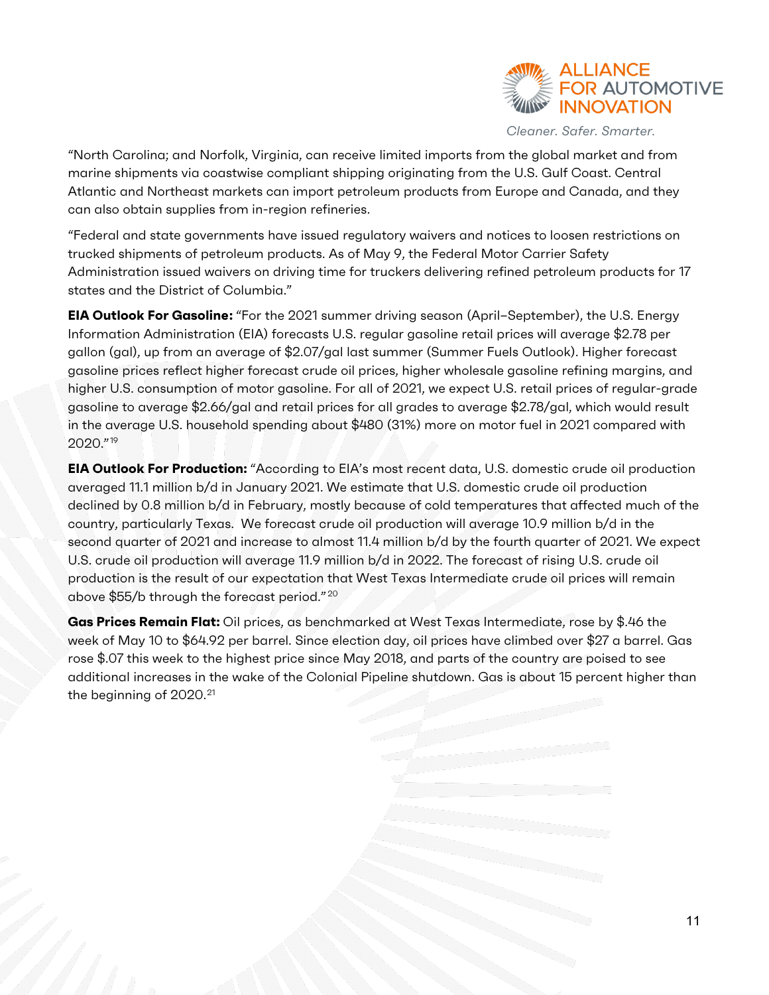

"North Carolina; and Norfolk, Virginia, can receive limited imports from the global market and from marine shipments via coastwise compliant shipping originating from the U.S. Gulf Coast. Central Atlantic and Northeast markets can import petroleum products from Europe and Canada, and they can also obtain supplies from in-region refineries.

"Federal and state governments have issued regulatory waivers and notices to loosen restrictions on trucked shipments of petroleum products. As of May 9, the Federal Motor Carrier Safety Administration issued waivers on driving time for truckers delivering refined petroleum products for 17 states and the District of Columbia."

**EIA Outlook For Gasoline[:](#page-20-18)** "For the 2021 summer driving season (April–September), the U.S. Energy Information Administration (EIA) forecasts U.S. regular gasoline retail prices will average \$2.78 per gallon (gal), up from an average of \$2.07/gal last summer (Summer Fuels Outlook). Higher forecast gasoline prices reflect higher forecast crude oil prices, higher wholesale gasoline refining margins, and higher U.S. consumption of motor gasoline. For all of 2021, we expect U.S. retail prices of regular-grade gasoline to average \$2.66/gal and retail prices for all grades to average \$2.78/gal, which would result in the average U.S. household spending about \$480 (31%) more on motor fuel in 2021 compared with 2020."[19](#page-20-19)

**EIA Outlook For Production:** "According to EIA's most recent data, U.S. domestic crude oil production averaged 11.1 million b/d in January 2021. We estimate that U.S. domestic crude oil production declined by 0.8 million b/d in February, mostly because of cold temperatures that affected much of the country, particularly Texas. We forecast crude oil production will average 10.9 million b/d in the second quarter of 2021 and increase to almost 11.4 million b/d by the fourth quarter of 2021. We expect U.S. crude oil production will average 11.9 million b/d in 2022. The forecast of rising U.S. crude oil production is the result of our expectation that West Texas Intermediate crude oil prices will remain above \$55/b through the forecast period." [20](#page-20-20)

**Gas Prices Remain Flat:** Oil prices, as benchmarked at West Texas Intermediate, rose by \$.46 the week of May 10 to \$64.92 per barrel. Since election day, oil prices have climbed over \$27 a barrel. Gas rose \$.07 this week to the highest price since May 2018, and parts of the country are poised to see additional increases in the wake of the Colonial Pipeline shutdown. Gas is about 15 percent higher than the beginning of 2020.<sup>[21](#page-20-21)</sup>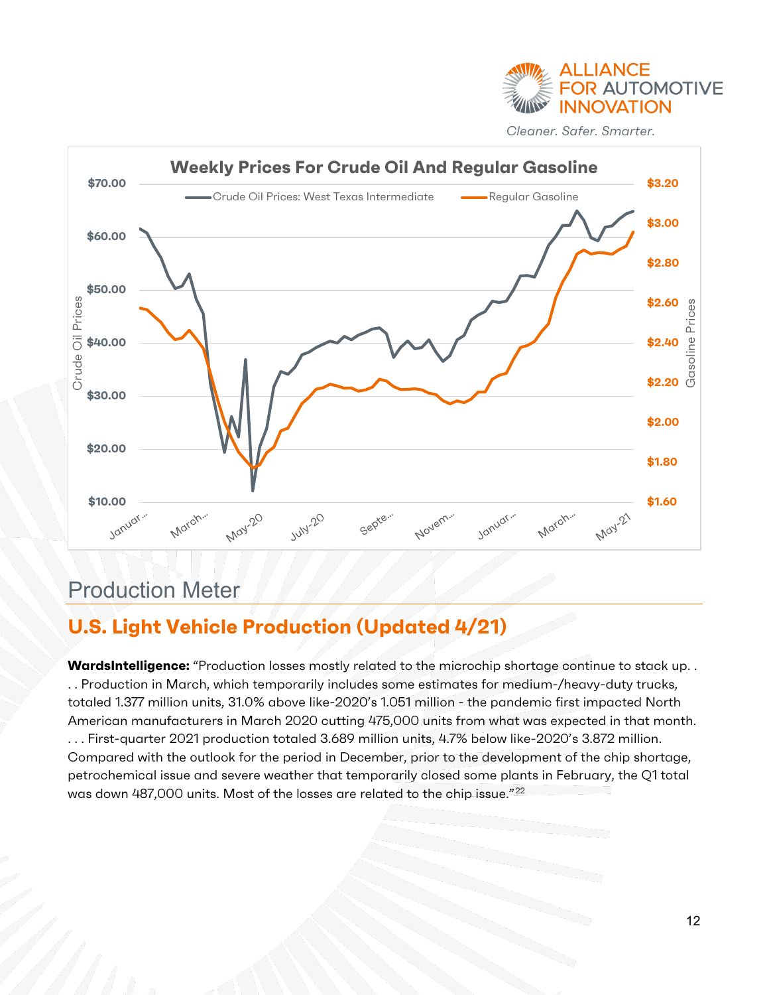



# <span id="page-11-0"></span>Production Meter

#### <span id="page-11-1"></span>**U.S. Light Vehicle Production (Updated 4/21)**

**WardsIntelligence:** "Production losses mostly related to the microchip shortage continue to stack up.. . . Production in March, which temporarily includes some estimates for medium-/heavy-duty trucks, totaled 1.377 million units, 31.0% above like-2020's 1.051 million - the pandemic first impacted North American manufacturers in March 2020 cutting 475,000 units from what was expected in that month. . . . First-quarter 2021 production totaled 3.689 million units, 4.7% below like-2020's 3.872 million. Compared with the outlook for the period in December, prior to the development of the chip shortage, petrochemical issue and severe weather that temporarily closed some plants in February, the Q1 total was down 487,000 units. Most of the losses are related to the chip issue."[22](#page-20-22)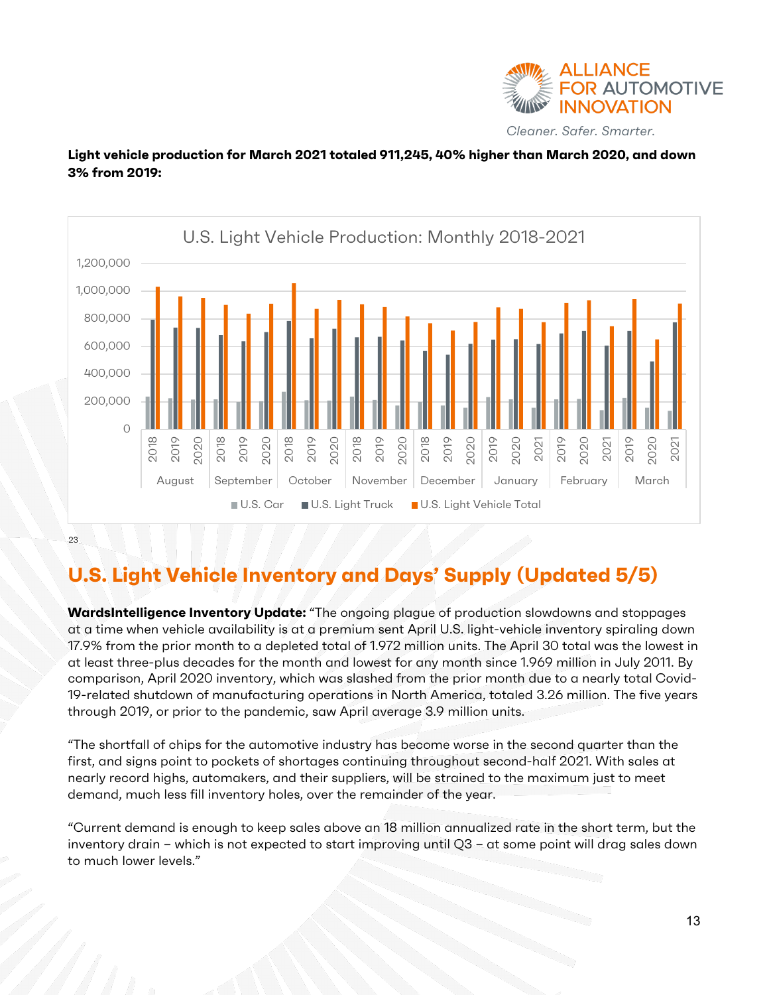

#### **Light vehicle production for March 2021 totaled 911,245, 40% higher than March 2020, and down 3% from 2019:**



[23](#page-20-23)

#### <span id="page-12-0"></span>**U.S. Light Vehicle Inventory and Days' Supply (Updated 5/5)**

**WardsIntelligence Inventory Update:** "The ongoing plague of production slowdowns and stoppages at a time when vehicle availability is at a premium sent April U.S. light-vehicle inventory spiraling down 17.9% from the prior month to a depleted total of 1.972 million units. The April 30 total was the lowest in at least three-plus decades for the month and lowest for any month since 1.969 million in July 2011. By comparison, April 2020 inventory, which was slashed from the prior month due to a nearly total Covid-19-related shutdown of manufacturing operations in North America, totaled 3.26 million. The five years through 2019, or prior to the pandemic, saw April average 3.9 million units.

"The shortfall of chips for the automotive industry has become worse in the second quarter than the first, and signs point to pockets of shortages continuing throughout second-half 2021. With sales at nearly record highs, automakers, and their suppliers, will be strained to the maximum just to meet demand, much less fill inventory holes, over the remainder of the year.

"Current demand is enough to keep sales above an 18 million annualized rate in the short term, but the inventory drain – which is not expected to start improving until Q3 – at some point will drag sales down to much lower levels."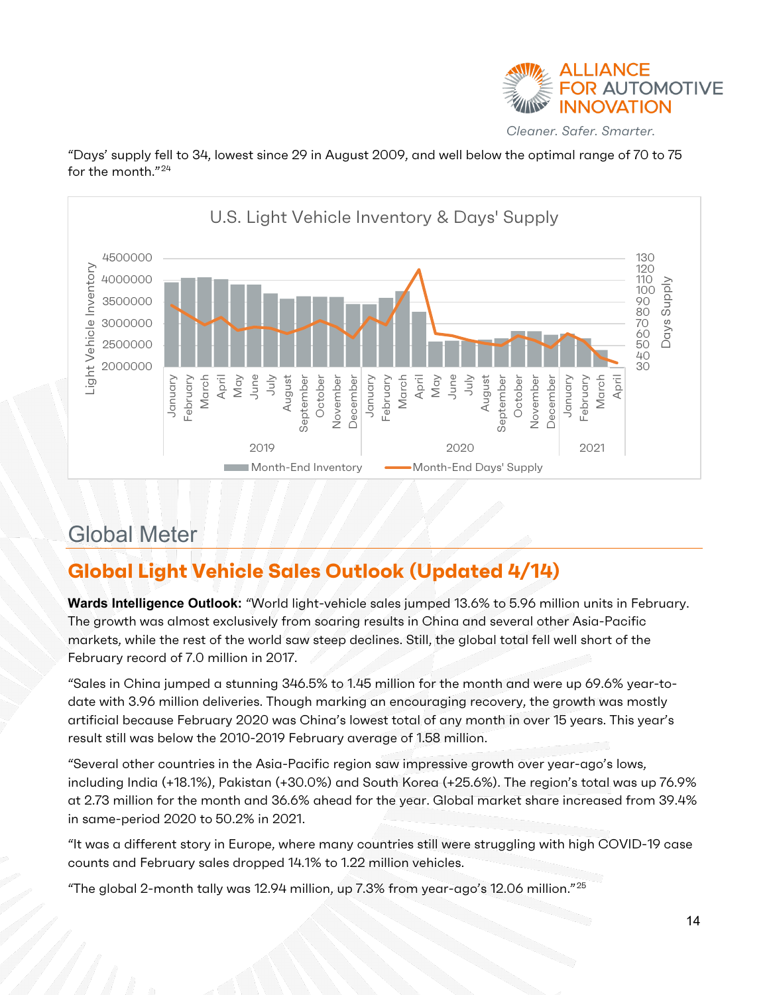

"Days' supply fell to 34, lowest since 29 in August 2009, and well below the optimal range of 70 to 75 for the month."<sup>[24](#page-20-18)</sup>



# <span id="page-13-0"></span>Global Meter

# <span id="page-13-1"></span>**Global Light Vehicle Sales Outlook (Updated 4/14)**

**Wards Intelligence Outlook:** "World light-vehicle sales jumped 13.6% to 5.96 million units in February. The growth was almost exclusively from soaring results in China and several other Asia-Pacific markets, while the rest of the world saw steep declines. Still, the global total fell well short of the February record of 7.0 million in 2017.

"Sales in China jumped a stunning 346.5% to 1.45 million for the month and were up 69.6% year-todate with 3.96 million deliveries. Though marking an encouraging recovery, the growth was mostly artificial because February 2020 was China's lowest total of any month in over 15 years. This year's result still was below the 2010-2019 February average of 1.58 million.

"Several other countries in the Asia-Pacific region saw impressive growth over year-ago's lows, including India (+18.1%), Pakistan (+30.0%) and South Korea (+25.6%). The region's total was up 76.9% at 2.73 million for the month and 36.6% ahead for the year. Global market share increased from 39.4% in same-period 2020 to 50.2% in 2021.

"It was a different story in Europe, where many countries still were struggling with high COVID-19 case counts and February sales dropped 14.1% to 1.22 million vehicles.

"The global 2-month tally was 12.94 million, up 7.3% from year-ago's 12.06 million." $^{25}$  $^{25}$  $^{25}$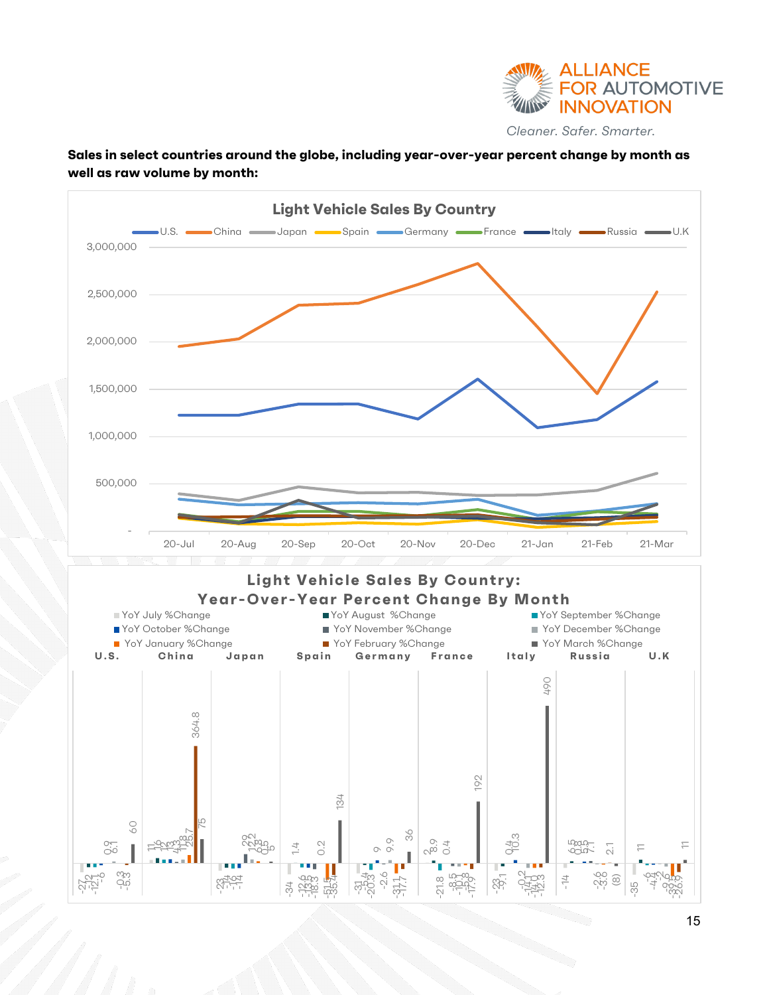

#### **Sales in select countries around the globe, including year-over-year percent change by month as well as raw volume by month:**

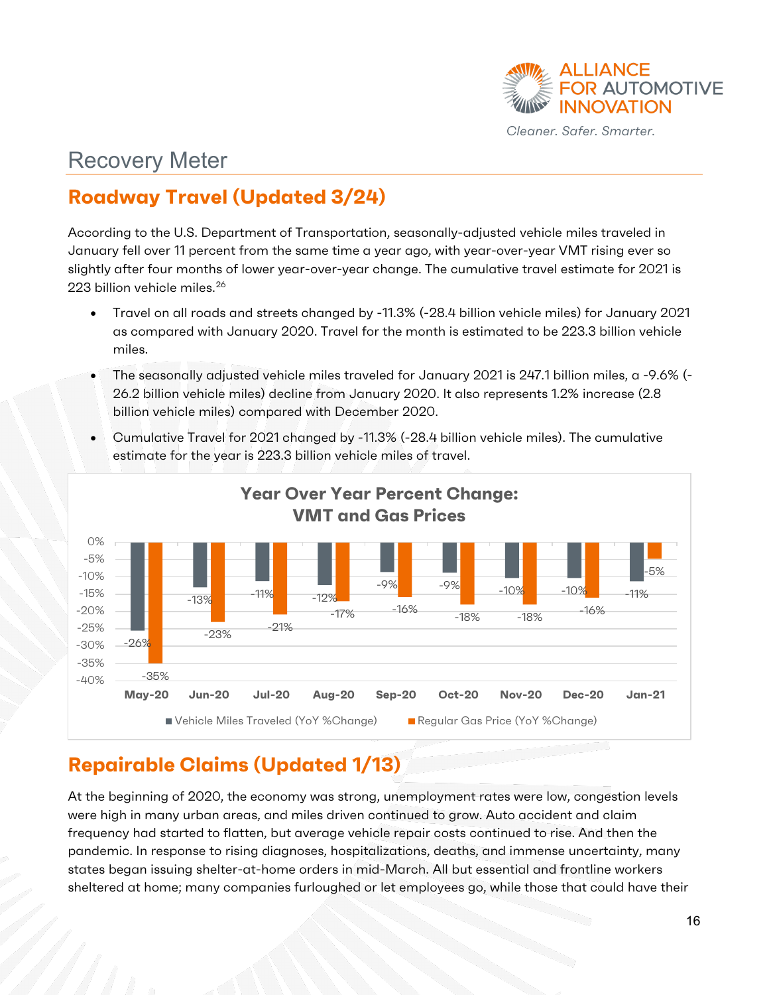

# <span id="page-15-0"></span>Recovery Meter

### <span id="page-15-1"></span>**Roadway Travel (Updated 3/24)**

According to the U.S. Department of Transportation, seasonally-adjusted vehicle miles traveled in January fell over 11 percent from the same time a year ago, with year-over-year VMT rising ever so slightly after four months of lower year-over-year change. The cumulative travel estimate for 2021 is 223 billion vehicle miles.<sup>[26](#page-20-25)</sup>

- Travel on all roads and streets changed by -11.3% (-28.4 billion vehicle miles) for January 2021 as compared with January 2020. Travel for the month is estimated to be 223.3 billion vehicle miles.
- The seasonally adjusted vehicle miles traveled for January 2021 is 247.1 billion miles, a -9.6% (- 26.2 billion vehicle miles) decline from January 2020. It also represents 1.2% increase (2.8 billion vehicle miles) compared with December 2020.
- Cumulative Travel for 2021 changed by -11.3% (-28.4 billion vehicle miles). The cumulative estimate for the year is 223.3 billion vehicle miles of travel.



### <span id="page-15-2"></span>**Repairable Claims (Updated 1/13)**

At the beginning of 2020, the economy was strong, unemployment rates were low, congestion levels were high in many urban areas, and miles driven continued to grow. Auto accident and claim frequency had started to flatten, but average vehicle repair costs continued to rise. And then the pandemic. In response to rising diagnoses, hospitalizations, deaths, and immense uncertainty, many states began issuing shelter-at-home orders in mid-March. All but essential and frontline workers sheltered at home; many companies furloughed or let employees go, while those that could have their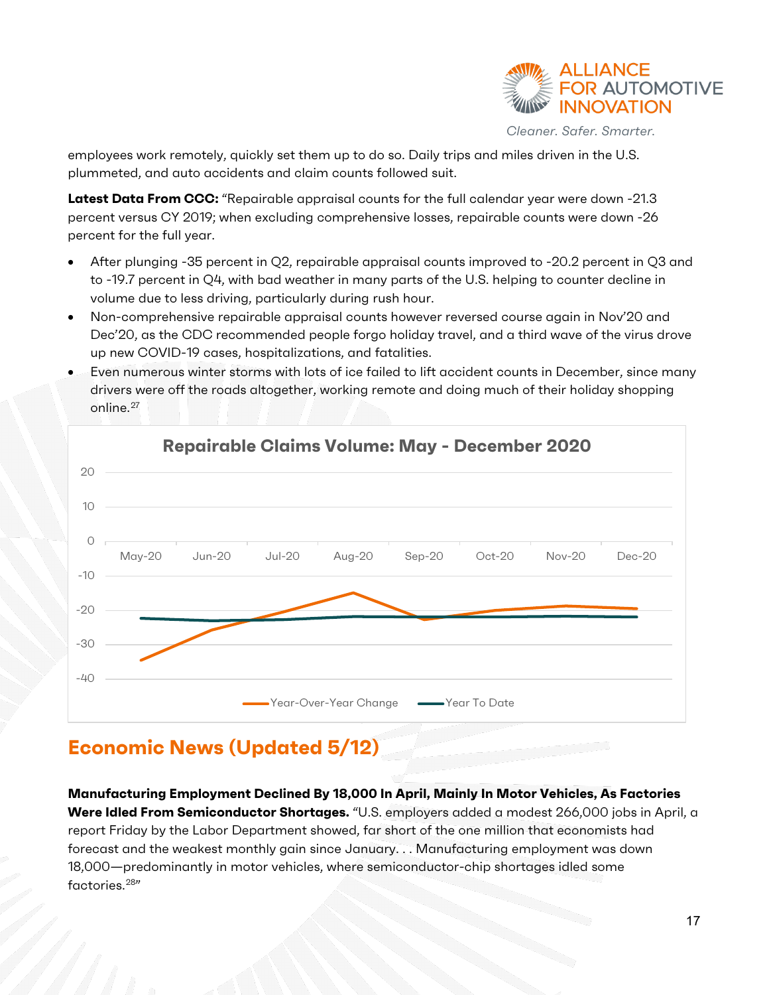

employees work remotely, quickly set them up to do so. Daily trips and miles driven in the U.S. plummeted, and auto accidents and claim counts followed suit.

**Latest Data From CCC:** "Repairable appraisal counts for the full calendar year were down -21.3 percent versus CY 2019; when excluding comprehensive losses, repairable counts were down -26 percent for the full year.

- After plunging -35 percent in Q2, repairable appraisal counts improved to -20.2 percent in Q3 and to -19.7 percent in Q4, with bad weather in many parts of the U.S. helping to counter decline in volume due to less driving, particularly during rush hour.
- Non-comprehensive repairable appraisal counts however reversed course again in Nov'20 and Dec'20, as the CDC recommended people forgo holiday travel, and a third wave of the virus drove up new COVID-19 cases, hospitalizations, and fatalities.
- Even numerous winter storms with lots of ice failed to lift accident counts in December, since many drivers were off the roads altogether, working remote and doing much of their holiday shopping online.<sup>[27](#page-20-26)</sup>



# <span id="page-16-0"></span>**Economic News (Updated 5/12)**

**Manufacturing Employment Declined By 18,000 In April, Mainly In Motor Vehicles, As Factories Were Idled From Semiconductor Shortages.** "U.S. employers added a modest 266,000 jobs in April, a report Friday by the Labor Department showed, far short of the one million that economists had forecast and the weakest monthly gain since January. . . Manufacturing employment was down 18,000—predominantly in motor vehicles, where semiconductor-chip shortages idled some factories.<sup>[28"](#page-20-27)</sup>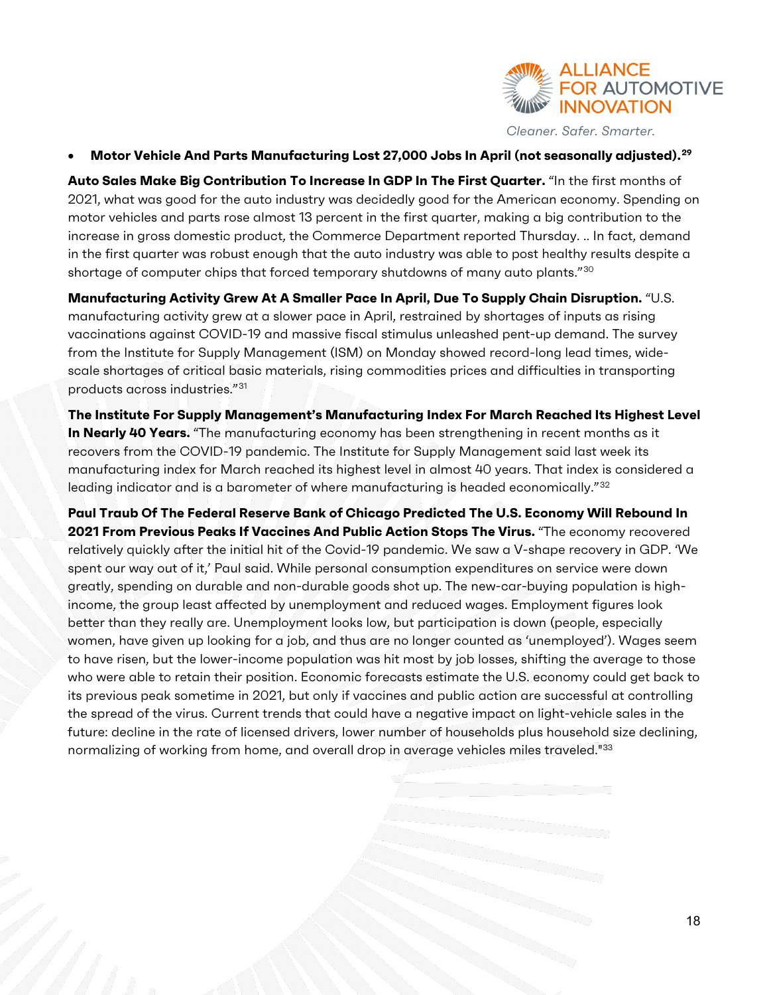

#### • **Motor Vehicle And Parts Manufacturing Lost 27,000 Jobs In April (not seasonally adjusted).[29](#page-20-28)**

**Auto Sales Make Big Contribution To Increase In GDP In The First Quarter.** "In the first months of 2021, what was good for the auto industry was decidedly good for the American economy. Spending on motor vehicles and parts rose almost 13 percent in the first quarter, making a big contribution to the increase in gross domestic product, the Commerce Department reported Thursday. .. In fact, demand in the first quarter was robust enough that the auto industry was able to post healthy results despite a shortage of computer chips that forced temporary shutdowns of many auto plants."[30](#page-20-29)

**Manufacturing Activity Grew At A Smaller Pace In April, Due To Supply Chain Disruption.** "U.S. manufacturing activity grew at a slower pace in April, restrained by shortages of inputs as rising vaccinations against COVID-19 and massive fiscal stimulus unleashed pent-up demand. The survey from the Institute for Supply Management (ISM) on Monday showed record-long lead times, widescale shortages of critical basic materials, rising commodities prices and difficulties in transporting products across industries."[31](#page-20-30)

**The Institute For Supply Management's Manufacturing Index For March Reached Its Highest Level In Nearly 40 Years.** "The manufacturing economy has been strengthening in recent months as it recovers from the COVID-19 pandemic. The Institute for Supply Management said last week its manufacturing index for March reached its highest level in almost 40 years. That index is considered a leading indicator and is a barometer of where manufacturing is headed economically."<sup>[32](#page-20-31)</sup>

**Paul Traub Of The Federal Reserve Bank of Chicago Predicted The U.S. Economy Will Rebound In 2021 From Previous Peaks If Vaccines And Public Action Stops The Virus.** "The economy recovered relatively quickly after the initial hit of the Covid-19 pandemic. We saw a V-shape recovery in GDP. 'We spent our way out of it,' Paul said. While personal consumption expenditures on service were down greatly, spending on durable and non-durable goods shot up. The new-car-buying population is highincome, the group least affected by unemployment and reduced wages. Employment figures look better than they really are. Unemployment looks low, but participation is down (people, especially women, have given up looking for a job, and thus are no longer counted as 'unemployed'). Wages seem to have risen, but the lower-income population was hit most by job losses, shifting the average to those who were able to retain their position. Economic forecasts estimate the U.S. economy could get back to its previous peak sometime in 2021, but only if vaccines and public action are successful at controlling the spread of the virus. Current trends that could have a negative impact on light-vehicle sales in the future: decline in the rate of licensed drivers, lower number of households plus household size declining, normalizing of working from home, and overall drop in average vehicles miles traveled."<sup>[33](#page-20-32)</sup>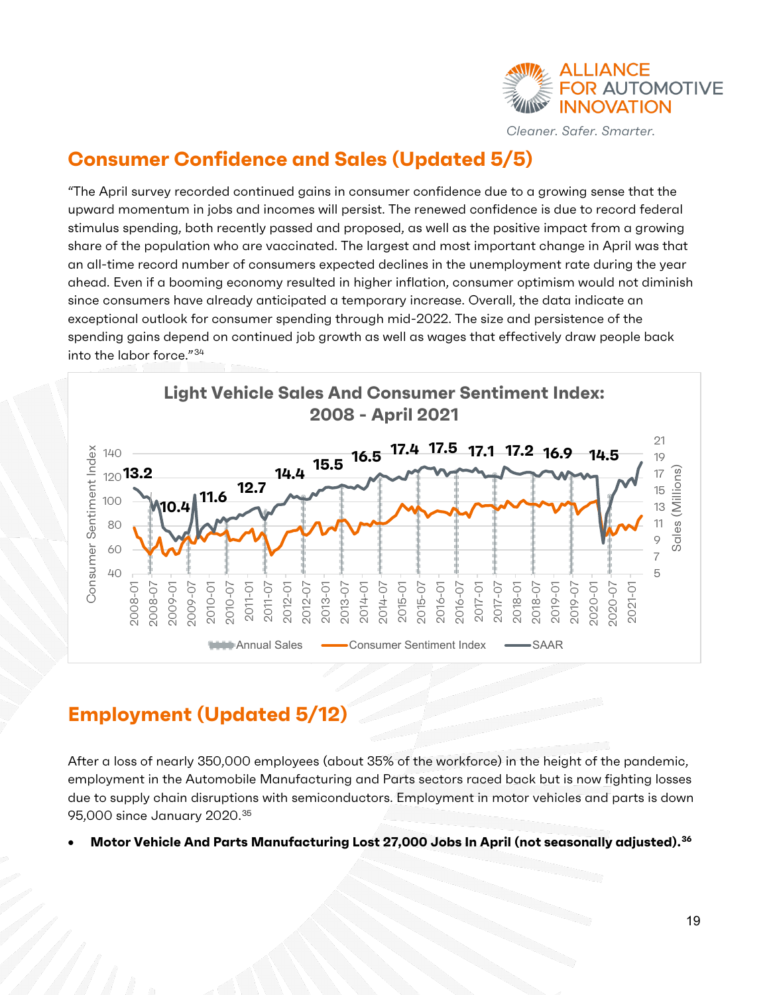

#### <span id="page-18-0"></span>**Consumer Confidence and Sales (Updated 5/5)**

"The April survey recorded continued gains in consumer confidence due to a growing sense that the upward momentum in jobs and incomes will persist. The renewed confidence is due to record federal stimulus spending, both recently passed and proposed, as well as the positive impact from a growing share of the population who are vaccinated. The largest and most important change in April was that an all-time record number of consumers expected declines in the unemployment rate during the year ahead. Even if a booming economy resulted in higher inflation, consumer optimism would not diminish since consumers have already anticipated a temporary increase. Overall, the data indicate an exceptional outlook for consumer spending through mid-2022. The size and persistence of the spending gains depend on continued job growth as well as wages that effectively draw people back into the labor force."[34](#page-20-33)



#### <span id="page-18-1"></span>**Employment (Updated 5/12)**

After a loss of nearly 350,000 employees (about 35% of the workforce) in the height of the pandemic, employment in the Automobile Manufacturing and Parts sectors raced back but is now fighting losses due to supply chain disruptions with semiconductors. Employment in motor vehicles and parts is down 95,000 since January 2020. [35](#page-20-34)

• **Motor Vehicle And Parts Manufacturing Lost 27,000 Jobs In April (not seasonally adjusted).[36](#page-20-35)**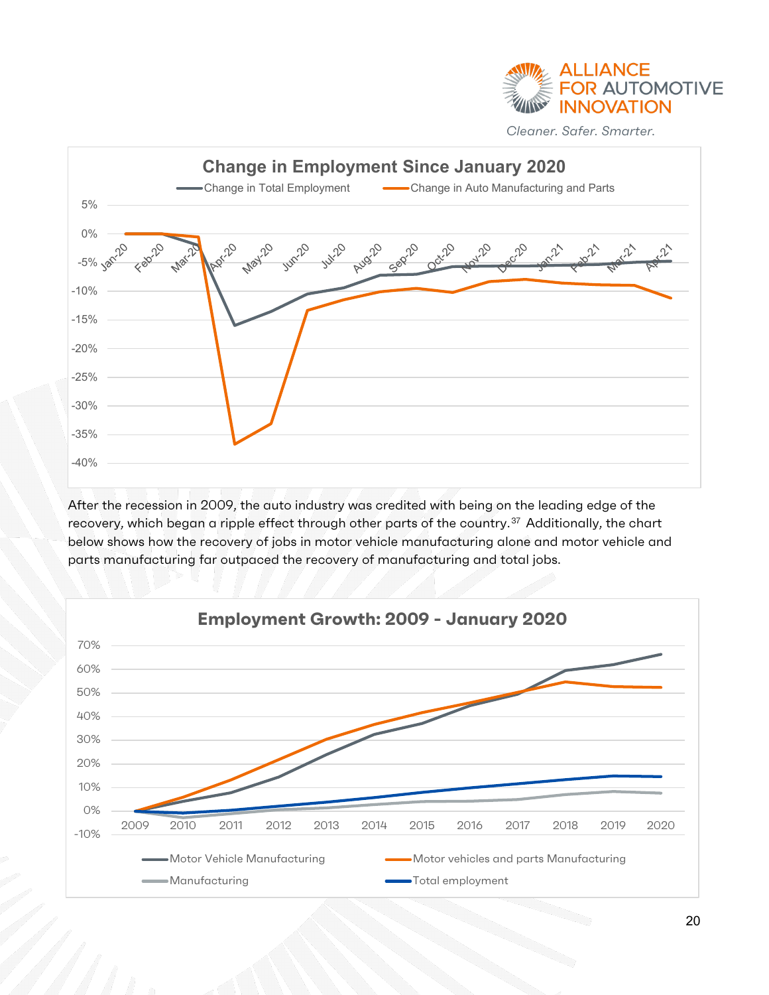



After the recession in 2009, the auto industry was credited with being on the leading edge of the recovery, which began a ripple effect through other parts of the country.<sup>[37](#page-20-36)</sup> Additionally, the chart below shows how the recovery of jobs in motor vehicle manufacturing alone and motor vehicle and parts manufacturing far outpaced the recovery of manufacturing and total jobs.